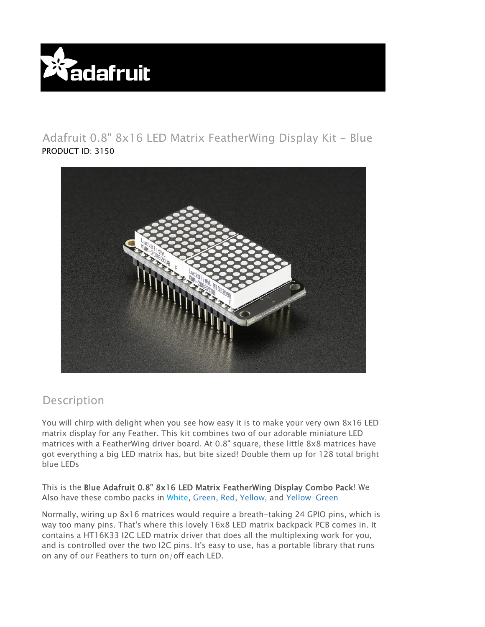

## Adafruit 0.8" 8x16 LED Matrix FeatherWing Display Kit - Blue PRODUCT ID: 3150



## Description

You will chirp with delight when you see how easy it is to make your very own 8x16 LED matrix display for any Feather. This kit combines two of our adorable miniature LED matrices with a FeatherWing driver board. At 0.8" square, these little 8x8 matrices have got everything a big LED matrix has, but bite sized! Double them up for 128 total bright blue LEDs

This is the Blue Adafruit 0.8" 8x16 LED Matrix FeatherWing Display Combo Pack! We Also have these combo packs in White, Green, Red, Yellow, and Yellow-Green

Normally, wiring up 8x16 matrices would require a breath-taking 24 GPIO pins, which is way too many pins. That's where this lovely 16x8 LED matrix backpack PCB comes in. It contains a HT16K33 I2C LED matrix driver that does all the multiplexing work for you, and is controlled over the two I2C pins. It's easy to use, has a portable library that runs on any of our Feathers to turn on/off each LED.